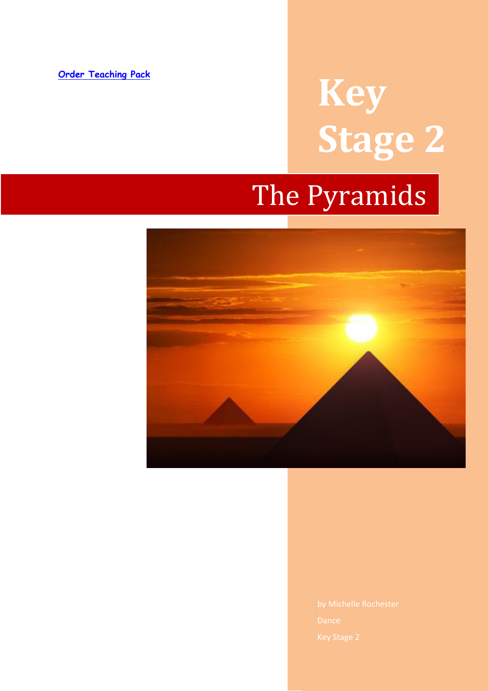#### **[Order Teaching Pack](https://www.dancenotes.co.uk/downloads/the-pyramids/)**

# **Key Stage 2**

# The Pyramids

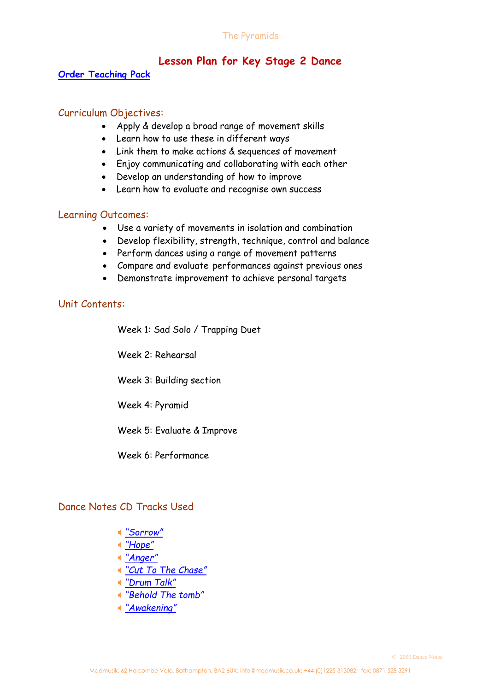# **Lesson Plan for Key Stage 2 Dance**

#### **[Order Teaching Pack](https://www.dancenotes.co.uk/downloads/the-pyramids/)**

#### Curriculum Objectives:

- Apply & develop a broad range of movement skills
- Learn how to use these in different ways
- Link them to make actions & sequences of movement
- Enjoy communicating and collaborating with each other
- Develop an understanding of how to improve
- Learn how to evaluate and recognise own success

#### Learning Outcomes:

- Use a variety of movements in isolation and combination
- Develop flexibility, strength, technique, control and balance
- Perform dances using a range of movement patterns
- Compare and evaluate performances against previous ones
- Demonstrate improvement to achieve personal targets

### Unit Contents:

Week 1: Sad Solo / Trapping Duet

Week 2: Rehearsal

Week 3: Building section

Week 4: Pyramid

Week 5: Evaluate & Improve

Week 6: Performance

#### Dance Notes CD Tracks Used

- *["Sorrow"](http://www.dancenotes.co.uk/DN4player_files/sorrow.mp3)*
- *["Hope"](http://www.dancenotes.co.uk/DN4player_files/hope.mp3)*
- *["Anger"](http://www.dancenotes.co.uk/DN4player_files/anger.mp3)*
- *["Cut To The Chase"](http://www.dancenotes.co.uk/DN4player_files/cuttothechace.mp3)*
- *["Drum Talk"](http://www.dancenotes.co.uk/DN4player_files/drumtalk.mp3)*
- *"[Behold The tomb](http://www.dancenotes.co.uk/DN3player_files/beholdthetomb.mp3)"*
- *"[Awakening](http://www.dancenotes.co.uk/DN2player_files/awakening.mp3)"*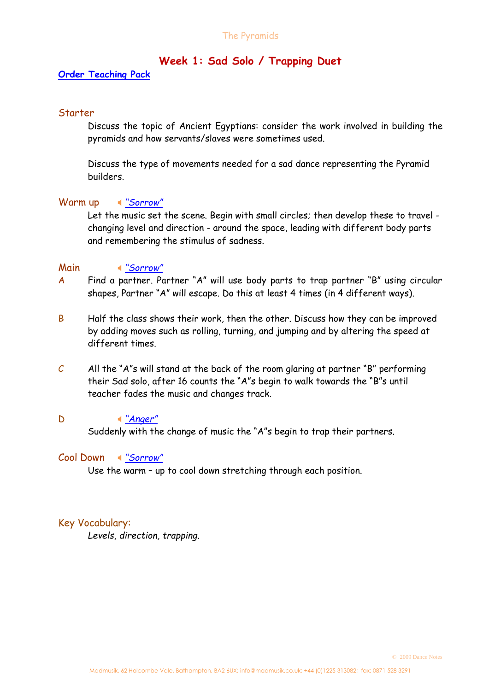# **Week 1: Sad Solo / Trapping Duet**

#### **[Order Teaching Pack](https://www.dancenotes.co.uk/downloads/the-pyramids/)**

#### **Starter**

Discuss the topic of Ancient Egyptians: consider the work involved in building the pyramids and how servants/slaves were sometimes used.

Discuss the type of movements needed for a sad dance representing the Pyramid builders.

#### Warm up *["Sorrow"](http://www.dancenotes.co.uk/DN4player_files/sorrow.mp3)*

Let the music set the scene. Begin with small circles; then develop these to travel changing level and direction - around the space, leading with different body parts and remembering the stimulus of sadness.

#### Main *["Sorrow"](http://www.dancenotes.co.uk/DN4player_files/sorrow.mp3)*

- A Find a partner. Partner "A" will use body parts to trap partner "B" using circular shapes, Partner "A" will escape. Do this at least 4 times (in 4 different ways).
- B Half the class shows their work, then the other. Discuss how they can be improved by adding moves such as rolling, turning, and jumping and by altering the speed at different times.
- $C$  All the "A"s will stand at the back of the room glaring at partner "B" performing their Sad solo, after 16 counts the "A"s begin to walk towards the "B"s until teacher fades the music and changes track.

#### D *["Anger"](http://www.dancenotes.co.uk/DN4player_files/anger.mp3)*

Suddenly with the change of music the "A"s begin to trap their partners.

#### Cool Down *["Sorrow"](http://www.dancenotes.co.uk/DN4player_files/sorrow.mp3)*

Use the warm – up to cool down stretching through each position.

#### Key Vocabulary:

*Levels, direction, trapping.*